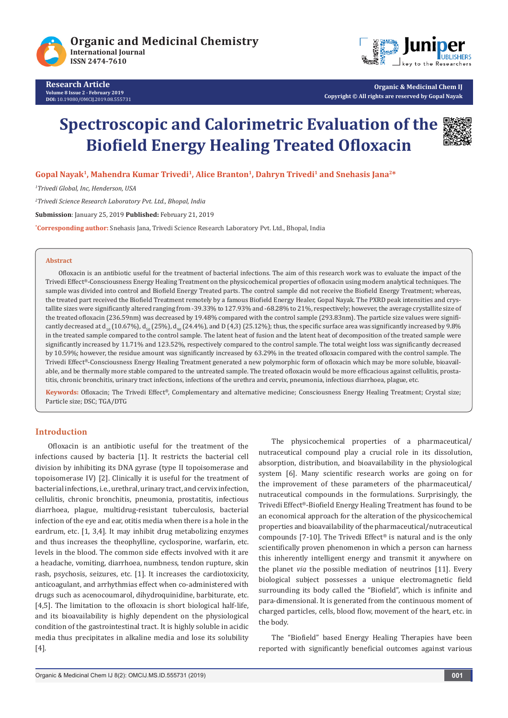



**Organic & Medicinal Chem IJ Copyright © All rights are reserved by Gopal Nayak** 

# **Spectroscopic and Calorimetric Evaluation of the Biofield Energy Healing Treated Ofloxacin**



**Gopal Nayak1, Mahendra Kumar Trivedi1, Alice Branton1, Dahryn Trivedi1 and Snehasis Jana2\***

*1 Trivedi Global, Inc, Henderson, USA*

*2 Trivedi Science Research Laboratory Pvt. Ltd., Bhopal, India*

**Submission**: January 25, 2019 **Published:** February 21, 2019

**\* Corresponding author:** Snehasis Jana, Trivedi Science Research Laboratory Pvt. Ltd., Bhopal, India

#### **Abstract**

Ofloxacin is an antibiotic useful for the treatment of bacterial infections. The aim of this research work was to evaluate the impact of the Trivedi Effect®-Consciousness Energy Healing Treatment on the physicochemical properties of ofloxacin using modern analytical techniques. The sample was divided into control and Biofield Energy Treated parts. The control sample did not receive the Biofield Energy Treatment; whereas, the treated part received the Biofield Treatment remotely by a famous Biofield Energy Healer, Gopal Nayak. The PXRD peak intensities and crystallite sizes were significantly altered ranging from -39.33% to 127.93% and -68.28% to 21%, respectively; however, the average crystallite size of the treated ofloxacin (236.59nm) was decreased by 19.48% compared with the control sample (293.83nm). The particle size values were significantly decreased at d<sub>10</sub> (10.67%), d<sub>50</sub> (25%), d<sub>90</sub> (24.4%), and D (4,3) (25.12%); thus, the specific surface area was significantly increased by 9.8% in the treated sample compared to the control sample. The latent heat of fusion and the latent heat of decomposition of the treated sample were significantly increased by 11.71% and 123.52%, respectively compared to the control sample. The total weight loss was significantly decreased by 10.59%; however, the residue amount was significantly increased by 63.29% in the treated ofloxacin compared with the control sample. The Trivedi Effect®-Consciousness Energy Healing Treatment generated a new polymorphic form of ofloxacin which may be more soluble, bioavailable, and be thermally more stable compared to the untreated sample. The treated ofloxacin would be more efficacious against cellulitis, prostatitis, chronic bronchitis, urinary tract infections, infections of the urethra and cervix, pneumonia, infectious diarrhoea, plague, etc.

**Keywords:** Ofloxacin; The Trivedi Effect®, Complementary and alternative medicine; Consciousness Energy Healing Treatment; Crystal size; Particle size; DSC; TGA/DTG

#### **Introduction**

Ofloxacin is an antibiotic useful for the treatment of the infections caused by bacteria [1]. It restricts the bacterial cell division by inhibiting its DNA gyrase (type II topoisomerase and topoisomerase IV) [2]. Clinically it is useful for the treatment of bacterial infections, i.e., urethral, urinary tract, and cervix infection, cellulitis, chronic bronchitis, pneumonia, prostatitis, infectious diarrhoea, plague, multidrug-resistant tuberculosis, bacterial infection of the eye and ear, otitis media when there is a hole in the eardrum, etc. [1, 3,4]. It may inhibit drug metabolizing enzymes and thus increases the theophylline, cyclosporine, warfarin, etc. levels in the blood. The common side effects involved with it are a headache, vomiting, diarrhoea, numbness, tendon rupture, skin rash, psychosis, seizures, etc. [1]. It increases the cardiotoxicity, anticoagulant, and arrhythmias effect when co-administered with drugs such as acenocoumarol, dihydroquinidine, barbiturate, etc. [4,5]. The limitation to the ofloxacin is short biological half-life, and its bioavailability is highly dependent on the physiological condition of the gastrointestinal tract. It is highly soluble in acidic media thus precipitates in alkaline media and lose its solubility [4].

The physicochemical properties of a pharmaceutical/ nutraceutical compound play a crucial role in its dissolution, absorption, distribution, and bioavailability in the physiological system [6]. Many scientific research works are going on for the improvement of these parameters of the pharmaceutical/ nutraceutical compounds in the formulations. Surprisingly, the Trivedi Effect®-Biofield Energy Healing Treatment has found to be an economical approach for the alteration of the physicochemical properties and bioavailability of the pharmaceutical/nutraceutical compounds [7-10]. The Trivedi Effect® is natural and is the only scientifically proven phenomenon in which a person can harness this inherently intelligent energy and transmit it anywhere on the planet *via* the possible mediation of neutrinos [11]. Every biological subject possesses a unique electromagnetic field surrounding its body called the "Biofield", which is infinite and para-dimensional. It is generated from the continuous moment of charged particles, cells, blood flow, movement of the heart, etc. in the body.

The "Biofield" based Energy Healing Therapies have been reported with significantly beneficial outcomes against various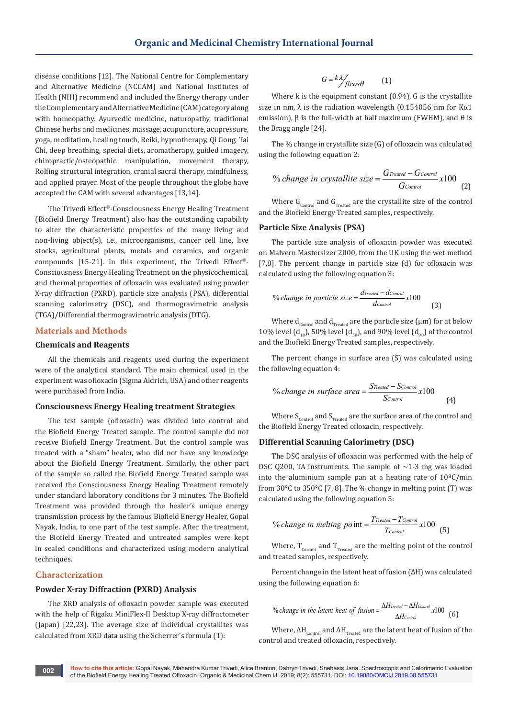disease conditions [12]. The National Centre for Complementary and Alternative Medicine (NCCAM) and National Institutes of Health (NIH) recommend and included the Energy therapy under the Complementary and Alternative Medicine (CAM) category along with homeopathy, Ayurvedic medicine, naturopathy, traditional Chinese herbs and medicines, massage, acupuncture, acupressure, yoga, meditation, healing touch, Reiki, hypnotherapy, Qi Gong, Tai Chi, deep breathing, special diets, aromatherapy, guided imagery, chiropractic/osteopathic manipulation, movement therapy, Rolfing structural integration, cranial sacral therapy, mindfulness, and applied prayer. Most of the people throughout the globe have accepted the CAM with several advantages [13,14].

The Trivedi Effect®-Consciousness Energy Healing Treatment (Biofield Energy Treatment) also has the outstanding capability to alter the characteristic properties of the many living and non-living object(s), i.e., microorganisms, cancer cell line, live stocks, agricultural plants, metals and ceramics, and organic compounds [15-21]. In this experiment, the Trivedi Effect®- Consciousness Energy Healing Treatment on the physicochemical, and thermal properties of ofloxacin was evaluated using powder X-ray diffraction (PXRD), particle size analysis (PSA), differential scanning calorimetry (DSC), and thermogravimetric analysis (TGA)/Differential thermogravimetric analysis (DTG).

## **Materials and Methods**

#### **Chemicals and Reagents**

All the chemicals and reagents used during the experiment were of the analytical standard. The main chemical used in the experiment was ofloxacin (Sigma Aldrich, USA) and other reagents were purchased from India.

#### **Consciousness Energy Healing treatment Strategies**

The test sample (ofloxacin) was divided into control and the Biofield Energy Treated sample. The control sample did not receive Biofield Energy Treatment. But the control sample was treated with a "sham" healer, who did not have any knowledge about the Biofield Energy Treatment. Similarly, the other part of the sample so called the Biofield Energy Treated sample was received the Consciousness Energy Healing Treatment remotely under standard laboratory conditions for 3 minutes. The Biofield Treatment was provided through the healer's unique energy transmission process by the famous Biofield Energy Healer, Gopal Nayak, India, to one part of the test sample. After the treatment, the Biofield Energy Treated and untreated samples were kept in sealed conditions and characterized using modern analytical techniques.

## **Characterization**

#### **Powder X-ray Diffraction (PXRD) Analysis**

The XRD analysis of ofloxacin powder sample was executed with the help of Rigaku MiniFlex-II Desktop X-ray diffractometer (Japan) [22,23]. The average size of individual crystallites was calculated from XRD data using the Scherrer's formula (1):

$$
G = \frac{k\lambda}{\beta\cos\theta} \qquad (1)
$$

Where k is the equipment constant (0.94), G is the crystallite size in nm,  $\lambda$  is the radiation wavelength (0.154056 nm for K $\alpha$ 1 emission), β is the full-width at half maximum (FWHM), and θ is the Bragg angle [24].

The % change in crystallite size (G) of ofloxacin was calculated using the following equation 2:

% change in crystallite size = 
$$
\frac{G_{Treated} - G_{Control}}{G_{Control}} x100
$$
 (2)

Where  $G_{\text{Control}}$  and  $G_{\text{Treated}}$  are the crystallite size of the control and the Biofield Energy Treated samples, respectively.

## **Particle Size Analysis (PSA)**

The particle size analysis of ofloxacin powder was executed on Malvern Mastersizer 2000, from the UK using the wet method [7,8]. The percent change in particle size (d) for ofloxacin was calculated using the following equation 3:

% change in particle size = 
$$
\frac{d_{Treated} - d_{Control}}{d_{Control}} x100
$$
 (3)

Where  $d_{\text{Control}}$  and  $d_{\text{Treated}}$  are the particle size ( $\mu$ m) for at below 10% level  $(d_{10})$ , 50% level  $(d_{50})$ , and 90% level  $(d_{90})$  of the control and the Biofield Energy Treated samples, respectively.

The percent change in surface area (S) was calculated using the following equation 4:

% change in surface area = 
$$
\frac{S_{Treated} - S_{Control}}{S_{Control}} x100
$$
 (4)

Where  $\textit{S}_{\textit{Control}}$  and  $\textit{S}_{\textit{Treated}}$  are the surface area of the control and the Biofield Energy Treated ofloxacin, respectively.

#### **Differential Scanning Calorimetry (DSC)**

The DSC analysis of ofloxacin was performed with the help of DSC 0200, TA instruments. The sample of  $\sim$ 1-3 mg was loaded into the aluminium sample pan at a heating rate of 10ºC/min from 30°C to 350°C [7, 8]. The % change in melting point (T) was calculated using the following equation 5:

<sup>9</sup>6 change in melting po int = 
$$
\frac{T_{Treated} - T_{Control}}{T_{Control}} x100
$$
 (5)

Where,  $T_{control}$  and  $T_{Treated}$  are the melting point of the control and treated samples, respectively.

Percent change in the latent heat of fusion (ΔH) was calculated using the following equation 6:

% change in the latent heat of fusion = 
$$
\frac{\Delta H_{\text{Treated}} - \Delta H_{\text{Control}}}{\Delta H_{\text{Control}}} x100
$$
 (6)

Where,  $\Delta H_{\text{Control}}$  and  $\Delta H_{\text{Trated}}$  are the latent heat of fusion of the control and treated ofloxacin, respectively.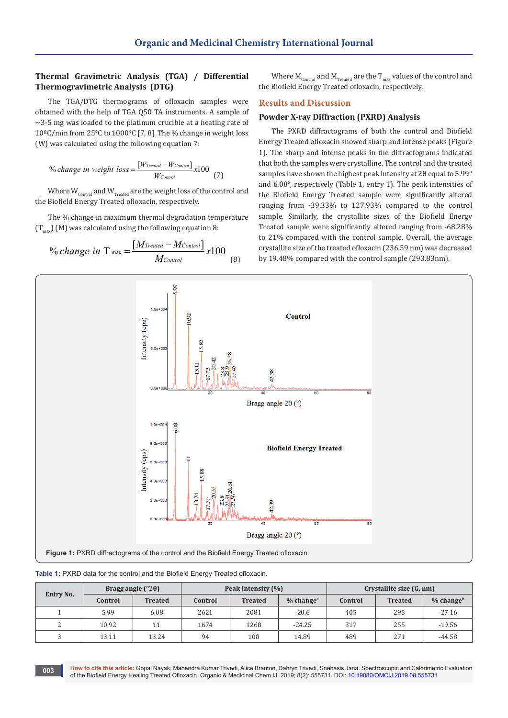# **Thermal Gravimetric Analysis (TGA) / Differential Thermogravimetric Analysis (DTG)**

The TGA/DTG thermograms of ofloxacin samples were obtained with the help of TGA Q50 TA instruments. A sample of  $\sim$ 3-5 mg was loaded to the platinum crucible at a heating rate of 10ºC/min from 25°C to 1000°C [7, 8]. The % change in weight loss (W) was calculated using the following equation 7:

<sup>9</sup>6 change in weight loss = 
$$
\frac{[W_{Treated} - W_{Control}]}{W_{Control}} x100
$$
 (7)

Where  $W_{\rm control}$  and  $W_{\rm treated}$  are the weight loss of the control and the Biofield Energy Treated ofloxacin, respectively.

The % change in maximum thermal degradation temperature  $(T_{\text{max}})$  (M) was calculated using the following equation 8:

<sup>9</sup>% change in T<sub>max</sub> = 
$$
\frac{[M_{Treated} - M_{Control}]}{M_{Control}} x100
$$
 (8)

Where  $\text{M}_\text{Control}$  and  $\text{M}_\text{Treated}$  are the  $\text{T}_\text{max}$  values of the control and the Biofield Energy Treated ofloxacin, respectively.

## **Results and Discussion**

## **Powder X-ray Diffraction (PXRD) Analysis**

The PXRD diffractograms of both the control and Biofield Energy Treated ofloxacin showed sharp and intense peaks (Figure 1). The sharp and intense peaks in the diffractograms indicated that both the samples were crystalline. The control and the treated samples have shown the highest peak intensity at 2θ equal to 5.99° and 6.08°, respectively (Table 1, entry 1). The peak intensities of the Biofield Energy Treated sample were significantly altered ranging from -39.33% to 127.93% compared to the control sample. Similarly, the crystallite sizes of the Biofield Energy Treated sample were significantly altered ranging from -68.28% to 21% compared with the control sample. Overall, the average crystallite size of the treated ofloxacin (236.59 nm) was decreased by 19.48% compared with the control sample (293.83nm).



**Table 1:** PXRD data for the control and the Biofield Energy Treated ofloxacin.

| Entry No. | Bragg angle $(^{\circ}2\theta)$ |                | Peak Intensity (%) |                |                       | Crystallite size (G, nm) |                |                       |
|-----------|---------------------------------|----------------|--------------------|----------------|-----------------------|--------------------------|----------------|-----------------------|
|           | Control                         | <b>Treated</b> | Control            | <b>Treated</b> | % change <sup>a</sup> | Control                  | <b>Treated</b> | % change <sup>b</sup> |
|           | 5.99                            | 6.08           | 2621               | 2081           | $-20.6$               | 405                      | 295            | $-27.16$              |
| n.        | 10.92                           |                | 1674               | 1268           | $-24.25$              | 317                      | 255            | $-19.56$              |
|           | 13.11                           | 13.24          | 94                 | 108            | 14.89                 | 489                      | 271            | $-44.58$              |

**How to cite this article:** Gopal Nayak, Mahendra Kumar Trivedi, Alice Branton, Dahryn Trivedi, Snehasis Jana. Spectroscopic and Calorimetric Evaluation of the Biofield Energy Healing Treated Ofloxacin. Organic & Medicinal Chem IJ. 2019; 8(2): 555731. DOI: [10.19080/OMCIJ.2019.08.555731](http://dx.doi.org/10.19080/OMCIJ.2019.08.555731) **<sup>003</sup>**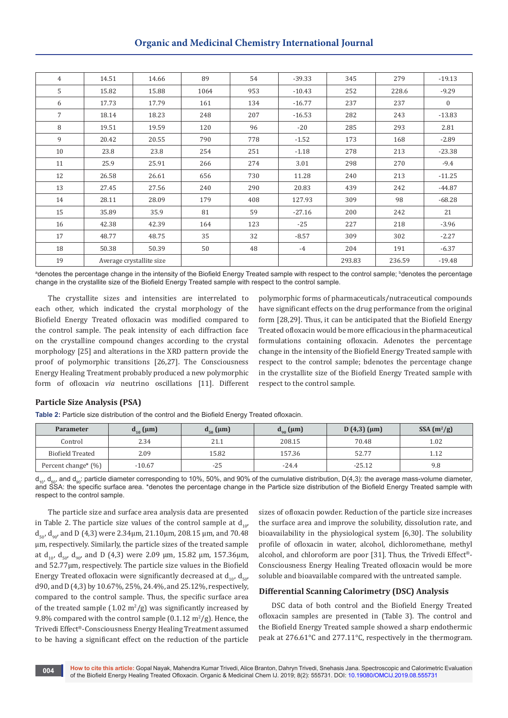# **Organic and Medicinal Chemistry International Journal**

| $\overline{4}$ | 14.51                    | 14.66 | 89   | 54  | $-39.33$ | 345    | 279    | $-19.13$     |
|----------------|--------------------------|-------|------|-----|----------|--------|--------|--------------|
| 5              | 15.82                    | 15.88 | 1064 | 953 | $-10.43$ | 252    | 228.6  | $-9.29$      |
| 6              | 17.73                    | 17.79 | 161  | 134 | $-16.77$ | 237    | 237    | $\mathbf{0}$ |
| $\overline{7}$ | 18.14                    | 18.23 | 248  | 207 | $-16.53$ | 282    | 243    | $-13.83$     |
| 8              | 19.51                    | 19.59 | 120  | 96  | $-20$    | 285    | 293    | 2.81         |
| 9              | 20.42                    | 20.55 | 790  | 778 | $-1.52$  | 173    | 168    | $-2.89$      |
| 10             | 23.8                     | 23.8  | 254  | 251 | $-1.18$  | 278    | 213    | $-23.38$     |
| 11             | 25.9                     | 25.91 | 266  | 274 | 3.01     | 298    | 270    | $-9.4$       |
| 12             | 26.58                    | 26.61 | 656  | 730 | 11.28    | 240    | 213    | $-11.25$     |
| 13             | 27.45                    | 27.56 | 240  | 290 | 20.83    | 439    | 242    | $-44.87$     |
| 14             | 28.11                    | 28.09 | 179  | 408 | 127.93   | 309    | 98     | $-68.28$     |
| 15             | 35.89                    | 35.9  | 81   | 59  | $-27.16$ | 200    | 242    | 21           |
| 16             | 42.38                    | 42.39 | 164  | 123 | $-25$    | 227    | 218    | $-3.96$      |
| 17             | 48.77                    | 48.75 | 35   | 32  | $-8.57$  | 309    | 302    | $-2.27$      |
| 18             | 50.38                    | 50.39 | 50   | 48  | $-4$     | 204    | 191    | $-6.37$      |
| 19             | Average crystallite size |       |      |     |          | 293.83 | 236.59 | $-19.48$     |

ªdenotes the percentage change in the intensity of the Biofield Energy Treated sample with respect to the control sample; <sup>b</sup>denotes the percentage change in the crystallite size of the Biofield Energy Treated sample with respect to the control sample.

The crystallite sizes and intensities are interrelated to each other, which indicated the crystal morphology of the Biofield Energy Treated ofloxacin was modified compared to the control sample. The peak intensity of each diffraction face on the crystalline compound changes according to the crystal morphology [25] and alterations in the XRD pattern provide the proof of polymorphic transitions [26,27]. The Consciousness Energy Healing Treatment probably produced a new polymorphic form of ofloxacin *via* neutrino oscillations [11]. Different

polymorphic forms of pharmaceuticals/nutraceutical compounds have significant effects on the drug performance from the original form [28,29]. Thus, it can be anticipated that the Biofield Energy Treated ofloxacin would be more efficacious in the pharmaceutical formulations containing ofloxacin. Adenotes the percentage change in the intensity of the Biofield Energy Treated sample with respect to the control sample; bdenotes the percentage change in the crystallite size of the Biofield Energy Treated sample with respect to the control sample.

### **Particle Size Analysis (PSA)**

**Table 2:** Particle size distribution of the control and the Biofield Energy Treated ofloxacin.

| <b>Parameter</b>       | $d_{10}$ (µm) | $d_{50}$ (µm) | $d_{90}$ (µm) | $D(4,3)(\mu m)$ | $SSA(m^2/g)$ |
|------------------------|---------------|---------------|---------------|-----------------|--------------|
| Control                | 2.34          | 21.1          | 208.15        | 70.48           | 1.02         |
| Biofield Treated       | 2.09          | 15.82         | 157.36        | 52.77           | 1.12         |
| Percent change* $(\%)$ | $-10.67$      | $-25$         | $-24.4$       | $-25.12$        | 9.8          |

 $d_{10}$ ,  $d_{50}$ , and  $d_{90}$ : particle diameter corresponding to 10%, 50%, and 90% of the cumulative distribution, D(4,3): the average mass-volume diameter, and SSA: the specific surface area. \*denotes the percentage change in the Particle size distribution of the Biofield Energy Treated sample with respect to the control sample.

The particle size and surface area analysis data are presented in Table 2. The particle size values of the control sample at  $d_{10}$  $d_{50}$ ,  $d_{90}$  and D (4,3) were 2.34 $\mu$ m, 21.10 $\mu$ m, 208.15  $\mu$ m, and 70.48 µm, respectively. Similarly, the particle sizes of the treated sample at  $d_{10}$ ,  $d_{50}$ ,  $d_{90}$ , and D (4,3) were 2.09  $\mu$ m, 15.82  $\mu$ m, 157.36 $\mu$ m, and 52.77µm, respectively. The particle size values in the Biofield Energy Treated of loxacin were significantly decreased at  $d_{10}$ ,  $d_{50}$ d90, and D (4,3) by 10.67%, 25%, 24.4%, and 25.12%, respectively, compared to the control sample. Thus, the specific surface area of the treated sample  $(1.02 \text{ m}^2/\text{g})$  was significantly increased by 9.8% compared with the control sample  $(0.1.12 \text{ m}^2/\text{g})$ . Hence, the Trivedi Effect®-Consciousness Energy Healing Treatment assumed to be having a significant effect on the reduction of the particle

sizes of ofloxacin powder. Reduction of the particle size increases the surface area and improve the solubility, dissolution rate, and bioavailability in the physiological system [6,30]. The solubility profile of ofloxacin in water, alcohol, dichloromethane, methyl alcohol, and chloroform are poor [31]. Thus, the Trivedi Effect®- Consciousness Energy Healing Treated ofloxacin would be more soluble and bioavailable compared with the untreated sample.

# **Differential Scanning Calorimetry (DSC) Analysis**

DSC data of both control and the Biofield Energy Treated ofloxacin samples are presented in (Table 3). The control and the Biofield Energy Treated sample showed a sharp endothermic peak at 276.61°C and 277.11°C, respectively in the thermogram.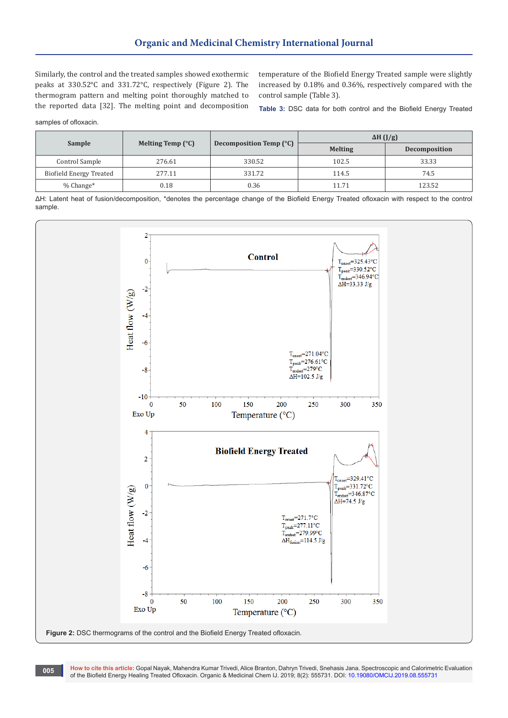Similarly, the control and the treated samples showed exothermic peaks at 330.52°C and 331.72°C, respectively (Figure 2). The thermogram pattern and melting point thoroughly matched to the reported data [32]. The melting point and decomposition

temperature of the Biofield Energy Treated sample were slightly increased by 0.18% and 0.36%, respectively compared with the control sample (Table 3).

**Table 3:** DSC data for both control and the Biofield Energy Treated

samples of ofloxacin.

| <b>Sample</b>           |                            |                         | $\Delta H$ (J/g) |                      |  |
|-------------------------|----------------------------|-------------------------|------------------|----------------------|--|
|                         | Melting Temp $(^{\circ}C)$ | Decomposition Temp (°C) | <b>Melting</b>   | <b>Decomposition</b> |  |
| Control Sample          | 276.61                     | 330.52                  | 102.5            | 33.33                |  |
| Biofield Energy Treated | 277.11                     | 331.72                  | 114.5            | 74.5                 |  |
| $%$ Change $*$          | 0.18                       | 0.36                    | 11.71            | 123.52               |  |

ΔH: Latent heat of fusion/decomposition, \*denotes the percentage change of the Biofield Energy Treated ofloxacin with respect to the control sample.



**How to cite this article:** Gopal Nayak, Mahendra Kumar Trivedi, Alice Branton, Dahryn Trivedi, Snehasis Jana. Spectroscopic and Calorimetric Evaluation of the Biofield Energy Healing Treated Ofloxacin. Organic & Medicinal Chem IJ. 2019; 8(2): 555731. DOI: [10.19080/OMCIJ.2019.08.555731](http://dx.doi.org/10.19080/OMCIJ.2019.08.555731) **<sup>005</sup>**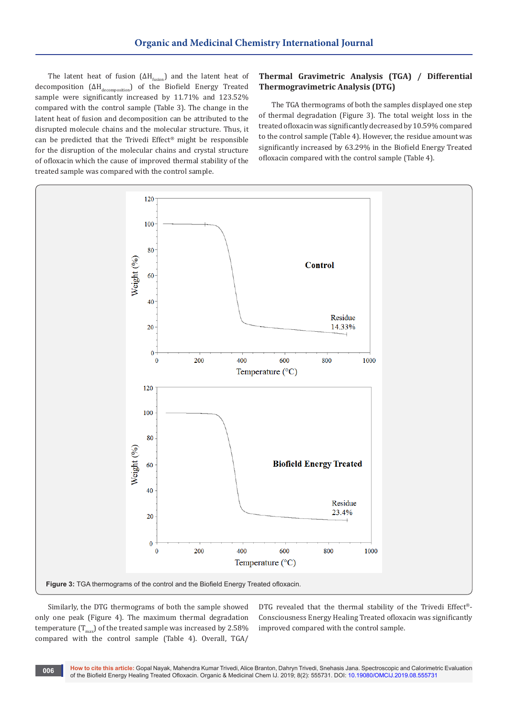The latent heat of fusion ( $\Delta H_{fusion}$ ) and the latent heat of decomposition (ΔH<sub>decomposition</sub>) of the Biofield Energy Treated sample were significantly increased by 11.71% and 123.52% compared with the control sample (Table 3). The change in the latent heat of fusion and decomposition can be attributed to the disrupted molecule chains and the molecular structure. Thus, it can be predicted that the Trivedi Effect® might be responsible for the disruption of the molecular chains and crystal structure of ofloxacin which the cause of improved thermal stability of the treated sample was compared with the control sample.

## **Thermal Gravimetric Analysis (TGA) / Differential Thermogravimetric Analysis (DTG)**

The TGA thermograms of both the samples displayed one step of thermal degradation (Figure 3). The total weight loss in the treated ofloxacin was significantly decreased by 10.59% compared to the control sample (Table 4). However, the residue amount was significantly increased by 63.29% in the Biofield Energy Treated ofloxacin compared with the control sample (Table 4).



Similarly, the DTG thermograms of both the sample showed only one peak (Figure 4). The maximum thermal degradation temperature  $(T_{\text{max}})$  of the treated sample was increased by 2.58% compared with the control sample (Table 4). Overall, TGA/

DTG revealed that the thermal stability of the Trivedi Effect®- Consciousness Energy Healing Treated ofloxacin was significantly improved compared with the control sample.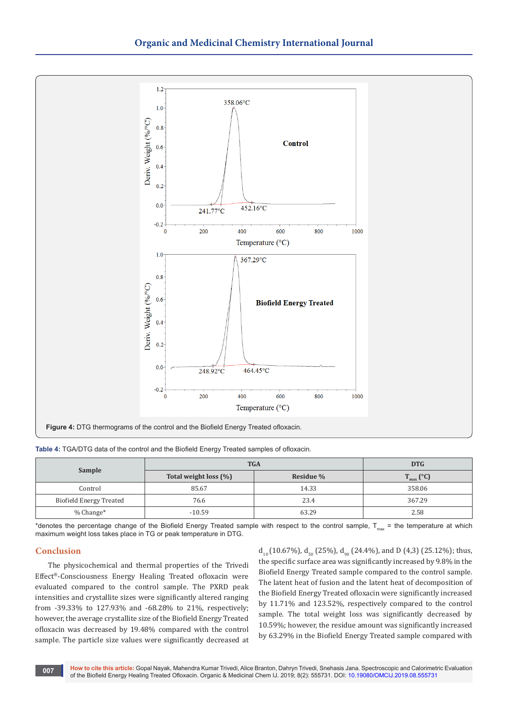

**Table 4:** TGA/DTG data of the control and the Biofield Energy Treated samples of ofloxacin.

|                         | <b>TGA</b>               | <b>DTG</b> |                                 |
|-------------------------|--------------------------|------------|---------------------------------|
| Sample                  | Total weight loss $(\%)$ | Residue %  | $\mathcal{L}_{\text{max}}$ (°C) |
| Control                 | 85.67                    | 14.33      | 358.06                          |
| Biofield Energy Treated | 76.6                     | 23.4       | 367.29                          |
| $%$ Change $*$          | $-10.59$                 | 63.29      | 2.58                            |

\*denotes the percentage change of the Biofield Energy Treated sample with respect to the control sample,  $T_{\text{max}}$  = the temperature at which maximum weight loss takes place in TG or peak temperature in DTG.

#### **Conclusion**

The physicochemical and thermal properties of the Trivedi Effect®-Consciousness Energy Healing Treated ofloxacin were evaluated compared to the control sample. The PXRD peak intensities and crystallite sizes were significantly altered ranging from -39.33% to 127.93% and -68.28% to 21%, respectively; however, the average crystallite size of the Biofield Energy Treated ofloxacin was decreased by 19.48% compared with the control sample. The particle size values were significantly decreased at  $d_{10}$  (10.67%),  $d_{50}$  (25%),  $d_{90}$  (24.4%), and D (4,3) (25.12%); thus, the specific surface area was significantly increased by 9.8% in the Biofield Energy Treated sample compared to the control sample. The latent heat of fusion and the latent heat of decomposition of the Biofield Energy Treated ofloxacin were significantly increased by 11.71% and 123.52%, respectively compared to the control sample. The total weight loss was significantly decreased by 10.59%; however, the residue amount was significantly increased by 63.29% in the Biofield Energy Treated sample compared with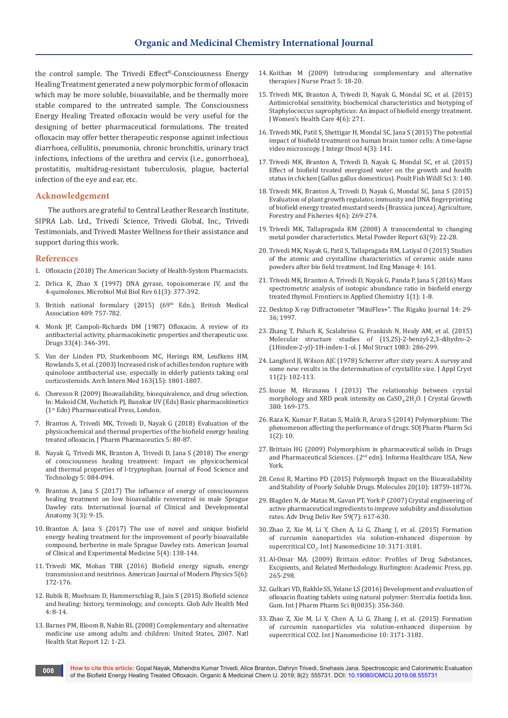the control sample. The Trivedi Effect®-Consciousness Energy Healing Treatment generated a new polymorphic form of ofloxacin which may be more soluble, bioavailable, and be thermally more stable compared to the untreated sample. The Consciousness Energy Healing Treated ofloxacin would be very useful for the designing of better pharmaceutical formulations. The treated ofloxacin may offer better therapeutic response against infectious diarrhoea, cellulitis, pneumonia, chronic bronchitis, urinary tract infections, infections of the urethra and cervix (i.e., gonorrhoea), prostatitis, multidrug-resistant tuberculosis, plague, bacterial infection of the eye and ear, etc.

#### **Acknowledgement**

The authors are grateful to Central Leather Research Institute, SIPRA Lab. Ltd., Trivedi Science, Trivedi Global, Inc., Trivedi Testimonials, and Trivedi Master Wellness for their assistance and support during this work.

## **References**

- 1. Ofloxacin (2018) The American Society of Health-System Pharmacists.
- 2. [Drlica K, Zhao X \(1997\) DNA gyrase, topoisomerase IV, and the](https://www.ncbi.nlm.nih.gov/pubmed/9293187)  [4-quinolones. Microbiol Mol Biol Rev 61\(3\): 377-392.](https://www.ncbi.nlm.nih.gov/pubmed/9293187)
- 3. British national formulary (2015) (69<sup>th</sup> Edn.), British Medical Association 409: 757-782.
- 4. [Monk JP, Campoli-Richards DM \(1987\) Ofloxacin. A review of its](https://www.ncbi.nlm.nih.gov/pubmed/3297617)  [antibacterial activity, pharmacokinetic properties and therapeutic use.](https://www.ncbi.nlm.nih.gov/pubmed/3297617)  [Drugs 33\(4\): 346-391.](https://www.ncbi.nlm.nih.gov/pubmed/3297617)
- 5. [Van der Linden PD, Sturkenboom MC, Herings RM, Leufkens HM,](https://www.ncbi.nlm.nih.gov/pubmed/12912715)  [Rowlands S, et al. \(2003\) Increased risk of achilles tendon rupture with](https://www.ncbi.nlm.nih.gov/pubmed/12912715)  [quinolone antibacterial use, especially in elderly patients taking oral](https://www.ncbi.nlm.nih.gov/pubmed/12912715)  [corticosteroids. Arch Intern Med 163\(15\): 1801-1807.](https://www.ncbi.nlm.nih.gov/pubmed/12912715)
- 6. Chereson R (2009) Bioavailability, bioequivalence, and drug selection. In: Makoid CM, Vuchetich PJ, Banakar UV (Eds) Basic pharmacokinetics (1st Edn) Pharmaceutical Press, London.
- 7. [Branton A, Trivedi MK, Trivedi D, Nayak G \(2018\) Evaluation of the](https://www.ommegaonline.org/article-details/Evaluation-of-the-Physicochemical-and-Thermal-Properties-of-the-Biofield-Energy-Healing-Treated-Ofloxacin/1965)  [physicochemical and thermal properties of the biofield energy healing](https://www.ommegaonline.org/article-details/Evaluation-of-the-Physicochemical-and-Thermal-Properties-of-the-Biofield-Energy-Healing-Treated-Ofloxacin/1965)  [treated ofloxacin. J Pharm Pharmaceutics 5: 80-87.](https://www.ommegaonline.org/article-details/Evaluation-of-the-Physicochemical-and-Thermal-Properties-of-the-Biofield-Energy-Healing-Treated-Ofloxacin/1965)
- 8. [Nayak G, Trivedi MK, Branton A, Trivedi D, Jana S \(2018\) The energy](https://escholarship.org/uc/item/8xx5n0t0)  [of consciousness healing treatment: Impact on physicochemical](https://escholarship.org/uc/item/8xx5n0t0)  [and thermal properties of l-tryptophan. Journal of Food Science and](https://escholarship.org/uc/item/8xx5n0t0)  [Technology 5: 084-094.](https://escholarship.org/uc/item/8xx5n0t0)
- 9. [Branton A, Jana S \(2017\) The influence of energy of consciousness](http://www.sciencepublishinggroup.com/journal/paperinfo?journalid=361&doi=10.11648/j.ijcda.20170303.11)  [healing treatment on low bioavailable resveratrol in male Sprague](http://www.sciencepublishinggroup.com/journal/paperinfo?journalid=361&doi=10.11648/j.ijcda.20170303.11)  [Dawley rats. International Journal of Clinical and Developmental](http://www.sciencepublishinggroup.com/journal/paperinfo?journalid=361&doi=10.11648/j.ijcda.20170303.11)  [Anatomy 3\(3\): 9-15.](http://www.sciencepublishinggroup.com/journal/paperinfo?journalid=361&doi=10.11648/j.ijcda.20170303.11)
- 10. [Branton A, Jana S \(2017\) The use of novel and unique biofield](http://www.sciencepublishinggroup.com/journal/paperinfo?journalid=254&doi=10.11648/j.ajcem.20170504.16)  [energy healing treatment for the improvement of poorly bioavailable](http://www.sciencepublishinggroup.com/journal/paperinfo?journalid=254&doi=10.11648/j.ajcem.20170504.16)  [compound, berberine in male Sprague Dawley rats. American Journal](http://www.sciencepublishinggroup.com/journal/paperinfo?journalid=254&doi=10.11648/j.ajcem.20170504.16)  [of Clinical and Experimental Medicine 5\(4\): 138-144.](http://www.sciencepublishinggroup.com/journal/paperinfo?journalid=254&doi=10.11648/j.ajcem.20170504.16)
- 11. [Trivedi MK, Mohan TRR \(2016\) Biofield energy signals, energy](http://www.sciencepublishinggroup.com/journal/paperinfo?journalid=122&doi=10.11648/j.ajmp.20160506.12)  [transmission and neutrinos. American Journal of Modern Physics 5\(6\):](http://www.sciencepublishinggroup.com/journal/paperinfo?journalid=122&doi=10.11648/j.ajmp.20160506.12)  [172-176.](http://www.sciencepublishinggroup.com/journal/paperinfo?journalid=122&doi=10.11648/j.ajmp.20160506.12)
- 12. [Rubik B, Muehsam D, Hammerschlag R, Jain S \(2015\) Biofield science](https://www.ncbi.nlm.nih.gov/pubmed/26665037)  [and healing: history, terminology, and concepts. Glob Adv Health Med](https://www.ncbi.nlm.nih.gov/pubmed/26665037)  [4: 8-14.](https://www.ncbi.nlm.nih.gov/pubmed/26665037)
- 13. [Barnes PM, Bloom B, Nahin RL \(2008\) Complementary and alternative](https://www.ncbi.nlm.nih.gov/pubmed/19361005)  [medicine use among adults and children: United States, 2007. Natl](https://www.ncbi.nlm.nih.gov/pubmed/19361005)  [Health Stat Report 12: 1-23.](https://www.ncbi.nlm.nih.gov/pubmed/19361005)
- 14. [Koithan M \(2009\) Introducing complementary and alternative](https://www.npjournal.org/article/S1555-4155(08)00601-6/abstract)  [therapies J Nurse Pract 5: 18-20.](https://www.npjournal.org/article/S1555-4155(08)00601-6/abstract)
- 15. Trivedi MK, Branton A, Trivedi D, Nayak G, Mondal SC, et al. (2015) Antimicrobial sensitivity, biochemical characteristics and biotyping of Staphylococcus saprophyticus: An impact of biofield energy treatment. J Women's Health Care 4(6): 271.
- 16. [Trivedi MK, Patil S, Shettigar H, Mondal SC, Jana S \(2015\) The potential](https://hal.inria.fr/hal-01416895v1)  [impact of biofield treatment on human brain tumor cells: A time-lapse](https://hal.inria.fr/hal-01416895v1)  [video microscopy. J Integr Oncol 4\(3\): 141.](https://hal.inria.fr/hal-01416895v1)
- 17. Trivedi MK, Branton A, Trivedi D, Nayak G, Mondal SC, et al. (2015) Effect of biofield treated energized water on the growth and health status in chicken (Gallus gallus domesticus). Poult Fish Wildl Sci 3: 140.
- 18. [Trivedi MK, Branton A, Trivedi D, Nayak G, Mondal SC, Jana S \(2015\)](https://escholarship.org/uc/item/76f4588w)  [Evaluation of plant growth regulator, immunity and DNA fingerprinting](https://escholarship.org/uc/item/76f4588w)  [of biofield energy treated mustard seeds \(Brassica juncea\). Agriculture,](https://escholarship.org/uc/item/76f4588w)  [Forestry and Fisheries 4\(6\): 269-274.](https://escholarship.org/uc/item/76f4588w)
- 19. [Trivedi MK, Tallapragada RM \(2008\) A transcendental to changing](https://www.sciencedirect.com/science/article/pii/S0026065708701450)  [metal powder characteristics. Metal Powder Report 63\(9\): 22-28.](https://www.sciencedirect.com/science/article/pii/S0026065708701450)
- 20. Trivedi MK, Nayak G, Patil S, Tallapragada RM, Latiyal O (2015) Studies of the atomic and crystalline characteristics of ceramic oxide nano powders after bio field treatment. Ind Eng Manage 4: 161.
- 21. [Trivedi MK, Branton A, Trivedi D, Nayak G, Panda P, Jana S \(2016\) Mass](http://www.sciencepublishinggroup.com/journal/paperinfo?journalid=206&doi=10.11648/j.wjac.20160101.11)  [spectrometric analysis of isotopic abundance ratio in biofield energy](http://www.sciencepublishinggroup.com/journal/paperinfo?journalid=206&doi=10.11648/j.wjac.20160101.11)  [treated thymol. Frontiers in Applied Chemistry 1\(1\): 1-8.](http://www.sciencepublishinggroup.com/journal/paperinfo?journalid=206&doi=10.11648/j.wjac.20160101.11)
- 22. Desktop X-ray Diffractometer "MiniFlex+". The Rigaku Journal 14: 29- 36; 1997.
- 23. [Zhang T, Paluch K, Scalabrino G, Frankish N, Healy AM, et al. \(2015\)](https://www.ncbi.nlm.nih.gov/pubmed/25750458/)  [Molecular structure studies of \(1S,2S\)-2-benzyl-2,3-dihydro-2-](https://www.ncbi.nlm.nih.gov/pubmed/25750458/) [\(1Hinden-2-yl\)-1H-inden-1-ol. J Mol Struct 1083: 286-299.](https://www.ncbi.nlm.nih.gov/pubmed/25750458/)
- 24. [Langford JI, Wilson AJC \(1978\) Scherrer after sixty years: A survey and](https://onlinelibrary.wiley.com/doi/abs/10.1107/S0021889878012844)  [some new results in the determination of crystallite size. J Appl Cryst](https://onlinelibrary.wiley.com/doi/abs/10.1107/S0021889878012844)  [11\(2\): 102-113.](https://onlinelibrary.wiley.com/doi/abs/10.1107/S0021889878012844)
- 25. [Inoue M, Hirasawa I \(2013\) The relationship between crystal](https://www.sciencedirect.com/science/article/pii/S0022024813004211)  morphology and XRD peak intensity on  $CaSO_4.2H_2O$ . J Crystal Growth [380: 169-175.](https://www.sciencedirect.com/science/article/pii/S0022024813004211)
- 26. [Raza K, Kumar P, Ratan S, Malik R, Arora S \(2014\) Polymorphism: The](https://symbiosisonlinepublishing.com/pharmacy-pharmaceuticalsciences/pharmacy-pharmaceuticalsciences11.php)  [phenomenon affecting the performance of drugs. SOJ Pharm Pharm Sci](https://symbiosisonlinepublishing.com/pharmacy-pharmaceuticalsciences/pharmacy-pharmaceuticalsciences11.php)  [1\(2\): 10.](https://symbiosisonlinepublishing.com/pharmacy-pharmaceuticalsciences/pharmacy-pharmaceuticalsciences11.php)
- 27. Brittain HG (2009) Polymorphism in pharmaceutical solids in Drugs and Pharmaceutical Sciences. (2<sup>nd</sup> edn). Informa Healthcare USA, New York.
- 28. [Censi R, Martino PD \(2015\) Polymorph Impact on the Bioavailability](https://www.ncbi.nlm.nih.gov/pubmed/26501244)  [and Stability of Poorly Soluble Drugs. Molecules 20\(10\): 18759-18776.](https://www.ncbi.nlm.nih.gov/pubmed/26501244)
- 29. [Blagden N, de Matas M, Gavan PT, York P \(2007\) Crystal engineering of](https://www.ncbi.nlm.nih.gov/pubmed/17597252)  [active pharmaceutical ingredients to improve solubility and dissolution](https://www.ncbi.nlm.nih.gov/pubmed/17597252)  [rates. Adv Drug Deliv Rev 59\(7\): 617-630.](https://www.ncbi.nlm.nih.gov/pubmed/17597252)
- 30. [Zhao Z, Xie M, Li Y, Chen A, Li G, Zhang J, et al. \(2015\) Formation](https://www.ncbi.nlm.nih.gov/pubmed/25995627)  [of curcumin nanoparticles via solution-enhanced dispersion by](https://www.ncbi.nlm.nih.gov/pubmed/25995627)   ${\rm supercritical~CO}_{2}$ . Int J Nanomedicine  $10:3171$ -3181.
- 31. Al-Omar MA. (2009) Brittain editor: Profiles of Drug Substances, Excipients, and Related Methodology. Burlington: Academic Press, pp. 265-298.
- 32. [Gulkari VD, Bakhle SS, Yelane LS \(2016\) Development and evaluation of](https://innovareacademics.in/journals/index.php/ijpps/article/view/10736/5160)  [ofloxacin floating tablets using natural polymer: Sterculia foetida linn.](https://innovareacademics.in/journals/index.php/ijpps/article/view/10736/5160)  [Gum. Int J Pharm Pharm Sci 8\(0035\): 356-360.](https://innovareacademics.in/journals/index.php/ijpps/article/view/10736/5160)
- 33. Zhao Z, Xie M, Li Y, Chen A, Li G, Zhang J, et al. (2015) Formation of curcumin nanoparticles via solution-enhanced dispersion by supercritical CO2. Int J Nanomedicine 10: 3171-3181.